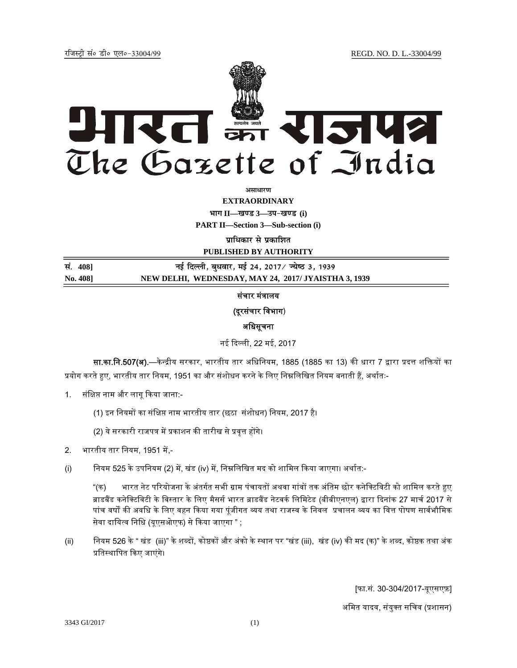jftLVªh laö Mhö ,yö&33004@99 REGD. NO. D. L.-33004/99



**vlk/kj.k**

**EXTRAORDINARY Hkkx II—[k.M 3—mi&[k.M (i)** 

**PART II—Section 3—Sub-section (i)** 

**पाधिकार से प्रकाशित** 

**PUBLISHED BY AUTHORITY**

**la. 408] ubZ fnYyh] cq/okj] ebZ 24] 2017@ T;s"B 3] 1939 No. 408] NEW DELHI, WEDNESDAY, MAY 24, 2017/ JYAISTHA 3, 1939**

# संचार मंत्रालय

## (दूरसंचार विभाग)

## अधिसूचना

नई िदल्ली, 22 मई, 2017

सा.का.नि.507(अ).—केन्द्रीय सरकार, भारतीय तार अधिनियम, 1885 (1885 का 13) की धारा 7 द्वारा प्रदत्त शक्तियों का प्रयोग करते हुए, भारतीय तार नियम, 1951 का और संशोधन करने के लिए निम्नलिखित नियम बनाती हैं, अर्थातः-

- 1. संक्षिप्त नाम और लागू किया जाना:-
	- (1) इन नियमों का संक्षिप्त नाम भारतीय तार (छठा संशोधन) नियम, 2017 है।

(2) ये सरकारी राजपत्र में प्रकाशन की तारीख से प्रवृत्त होंगे।

- 2. भारतीय तार नियम, 1951 में.-
- (i) नियम 525 के उपनियम (2) में, खंड (iv) में, निम्नलिखित मद को शामिल किया जाएगा। अर्थात:-

"(क) भारत नेट परियोजना के अंतर्गत सभी ग्राम पंचायतों अथवा गांवों तक अंतिम छोर कनेक्टिविटी को शामिल करते हुए ब्राडबैंड कनेक्टिविटी के विस्तार के लिए मैसर्स भारत ब्राडबैंड नेटवर्क लिमिटेड (बीबीएनएल) द्वारा दिनांक 27 मार्च 2017 से पांच वर्षों की अवधि के लिए वहन किया गया पुंजीगत व्यय तथा राजस्व के निवल प्रचालन व्यय का वित्त पोषण सार्वभौमिक सेवा दायित्व निधि (यूएसओएफ) से किया जाएगा " ;

(ii) नियम 526 के " खंड (iii)" के शब्दों, कोष्ठकों और अंको के स्थान पर "खंड (iii), खंड (iv) की मद (क)" के शब्द, कोष्ठक तथा अंक प्रतिस्थापित किए जाएंगे।

[फा.सं. 30-304/2017-यूएसएफ़]

अमित यादव, संयुक्त सचिव (प्रशासन)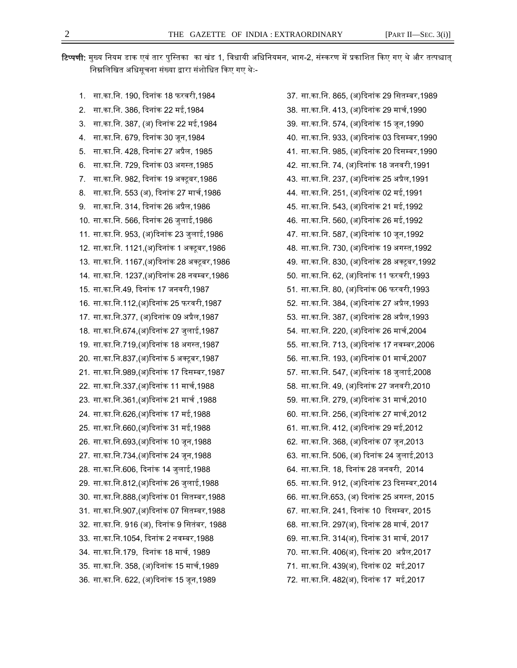**टिप्पणी:** मुख्य नियम डाक एवं तार पुस्तिका का खंड 1, विधायी अधिनियमन, भाग-2, संस्करण में प्रकाशित किए गए थे और तत्पश्चात् निम्नलिखित अधिसूचना संख्या द्वारा संशोधित किए गए थेः-

1. सा.का.िन. 190, िदनांक 18 फरवरी,1984 2. सा.का.िन. 386, िदनांक 22 मई,1984 3. सा.का.नि. 387, (अ) दिनांक 22 मई,1984 4. सा.का.िन. 679, िदनांक 30 जन,1984 ू 5. सा.का.िन. 428, िदनांक 27 अᮧल, 1985 ै 6. सा.का.िन. 729, िदनांक 03 अगस्त,1985 7. सा.का.िन. 982, िदनांक 19 अक्टूबर,1986 8. सा.का.िन. 553 (अ), िदनांक 27 माचर्,1986 9. सा.का.िन. 314, िदनांक 26 अᮧल,1986 ै 10. सा.का.िन. 566, िदनांक 26 जलाई,1986 ु 11. सा.का.िन. 953, (अ)िदनांक 23 जुलाई,1986 12. सा.का.िन. 1121,(अ)िदनांक 1 अक्टूबर,1986 13. सा.का.िन. 1167,(अ)िदनांक 28 अक्टूबर,1986 14. सा.का.िन. 1237,(अ)िदनांक 28 नवम्बर,1986 15. सा.का.िन.49, िदनांक 17 जनवरी,1987 16. सा.का.िन.112,(अ)िदनांक 25 फरवरी,1987 17. सा.का.िन.377, (अ)िदनांक 09 अᮧैल,1987 18. सा.का.िन.674,(अ)िदनांक 27 जलाई,1987 ु 19. सा.का.िन.719,(अ)िदनांक 18 अगस्त,1987 20. सा.का.िन.837,(अ)िदनांक 5 अक्टूबर,1987 21. सा.का.िन.989,(अ)िदनांक 17 िदसम्बर,1987 22. सा.का.िन.337,(अ)िदनांक 11 माचर्,1988 23. सा.का.िन.361,(अ)िदनांक 21 माचर् ,1988 24. सा.का.िन.626,(अ)िदनांक 17 मई,1988 25. सा.का.िन.660,(अ)िदनांक 31 मई,1988 26. सा.का.िन.693,(अ)िदनांक 10 जन,1988 ू 27. सा.का.नि.734,(अ)दिनांक 24 जून,1988 28. सा.का.िन.606, िदनांक 14 जुलाई,1988 29. सा.का.िन.812,(अ)िदनांक 26 जलाई,1988 ु 30. सा.का.िन.888,(अ)िदनांक 01 िसतम्बर,1988 31. सा.का.िन.907,(अ)िदनांक 07 िसतम्बर,1988 32. सा.का.िन. 916 (अ), िदनांक 9 िसतंबर, 1988 33. सा.का.िन.1054, िदनांक 2 नवम्बर,1988 34. सा.का.िन.179, िदनांक 18 माचर्, 1989 35. सा.का.िन. 358, (अ)िदनांक 15 माचर्,1989 36. सा.का.िन. 622, (अ)िदनांक 15 जून,1989

37. सा.का.िन. 865, (अ)िदनांक 29 िसतम्बर,1989 38. सा.का.िन. 413, (अ)िदनांक 29 माचर्,1990 39. सा.का.िन. 574, (अ)िदनांक 15 जून,1990 40. सा.का.िन. 933, (अ)िदनांक 03 िदसम्बर,1990 41. सा.का.िन. 985, (अ)िदनांक 20 िदसम्बर,1990 42. सा.का.िन. 74, (अ)िदनांक 18 जनवरी,1991 43. सा.का.िन. 237, (अ)िदनांक 25 अᮧैल,1991 44. सा.का.िन. 251, (अ)िदनांक 02 मई,1991 45. सा.का.िन. 543, (अ)िदनांक 21 मई,1992 46. सा.का.िन. 560, (अ)िदनांक 26 मई,1992 47. सा.का.िन. 587, (अ)िदनांक 10 जून,1992 48. सा.का.िन. 730, (अ)िदनांक 19 अगस्त,1992 49. सा.का.िन. 830, (अ)िदनांक 28 अक्टूबर,1992 50. सा.का.िन. 62, (अ)िदनांक 11 फरवरी,1993 51. सा.का.िन. 80, (अ)िदनांक 06 फरवरी,1993 52. सा.का.िन. 384, (अ)िदनांक 27 अᮧैल,1993 53. सा.का.िन. 387, (अ)िदनांक 28 अᮧैल,1993 54. सा.का.िन. 220, (अ)िदनांक 26 माचर्,2004 55. सा.का.िन. 713, (अ)िदनांक 17 नवम्बर,2006 56. सा.का.िन. 193, (अ)िदनांक 01 माचर्,2007 57. सा.का.िन. 547, (अ)िदनांक 18 जुलाई,2008 58. सा.का.िन. 49, (अ)िदनांक 27 जनवरी,2010 59. सा.का.िन. 279, (अ)िदनांक 31 माचर्,2010 60. सा.का.िन. 256, (अ)िदनांक 27 माचर्,2012 61. सा.का.िन. 412, (अ)िदनांक 29 मई,2012 62. सा.का.िन. 368, (अ)िदनांक 07 जून,2013 63. सा.का.नि. 506, (अ) दिनांक 24 जुलाई,2013 64. सा.का.िन. 18, िदनांक 28 जनवरी, 2014 65. सा.का.िन. 912, (अ)िदनांक 23 िदसम् बर,2014 66. सा.का.नि.653, (अ) दिनांक 25 अगस्त, 2015 67. सा.का.िन. 241, िदनांक 10 िदसम् बर, 2015 68. सा.का.िन. 297(अ), िदनांक 28 माचर्, 2017 69. सा.का.िन. 314(अ), िदनांक 31 माचर्, 2017 70. सा.का.िन. 406(अ), िदनांक 20 अᮧल,2017 ै 71. सा.का.िन. 439(अ), िदनांक 02 मई,2017 72. सा.का.िन. 482(अ), िदनांक 17 मई,2017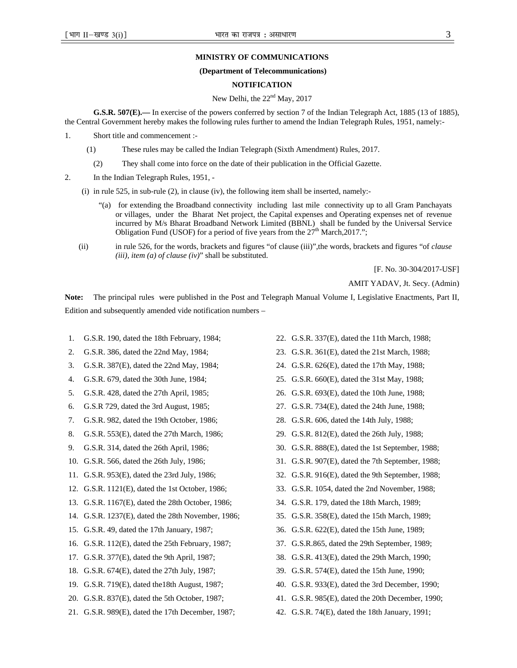#### **MINISTRY OF COMMUNICATIONS**

### **(Department of Telecommunications)**

### **NOTIFICATION**

### New Delhi, the  $22<sup>nd</sup>$  May, 2017

**G.S.R. 507(E).—** In exercise of the powers conferred by section 7 of the Indian Telegraph Act, 1885 (13 of 1885), the Central Government hereby makes the following rules further to amend the Indian Telegraph Rules, 1951, namely:-

- 1. Short title and commencement :-
	- (1) These rules may be called the Indian Telegraph (Sixth Amendment) Rules, 2017.
	- (2) They shall come into force on the date of their publication in the Official Gazette.
- 2. In the Indian Telegraph Rules, 1951, -

(i) in rule 525, in sub-rule  $(2)$ , in clause (iv), the following item shall be inserted, namely:-

- "(a) for extending the Broadband connectivity including last mile connectivity up to all Gram Panchayats or villages, under the Bharat Net project, the Capital expenses and Operating expenses net of revenue incurred by M/s Bharat Broadband Network Limited (BBNL) shall be funded by the Universal Service Obligation Fund (USOF) for a period of five years from the  $27<sup>th</sup>$  March,2017.";
- (ii) in rule 526, for the words, brackets and figures "of clause (iii)",the words, brackets and figures "of *clause (iii), item (a) of clause (iv)*" shall be substituted.

[F. No. 30-304/2017-USF]

AMIT YADAV, Jt. Secy. (Admin)

**Note:** The principal rules were published in the Post and Telegraph Manual Volume I, Legislative Enactments, Part II, Edition and subsequently amended vide notification numbers –

- 1. G.S.R. 190, dated the 18th February, 1984;
- 2. G.S.R. 386, dated the 22nd May, 1984;
- 3. G.S.R. 387(E), dated the 22nd May, 1984;
- 4. G.S.R. 679, dated the 30th June, 1984;
- 5. G.S.R. 428, dated the 27th April, 1985;
- 6. G.S.R 729, dated the 3rd August, 1985;
- 7. G.S.R. 982, dated the 19th October, 1986;
- 8. G.S.R. 553(E), dated the 27th March, 1986;
- 9. G.S.R. 314, dated the 26th April, 1986;
- 10. G.S.R. 566, dated the 26th July, 1986;
- 11. G.S.R. 953(E), dated the 23rd July, 1986;
- 12. G.S.R. 1121(E), dated the 1st October, 1986;
- 13. G.S.R. 1167(E), dated the 28th October, 1986;
- 14. G.S.R. 1237(E), dated the 28th November, 1986;
- 15. G.S.R. 49, dated the 17th January, 1987;
- 16. G.S.R. 112(E), dated the 25th February, 1987;
- 17. G.S.R. 377(E), dated the 9th April, 1987;
- 18. G.S.R. 674(E), dated the 27th July, 1987;
- 19. G.S.R. 719(E), dated the18th August, 1987;
- 20. G.S.R. 837(E), dated the 5th October, 1987;
- 21. G.S.R. 989(E), dated the 17th December, 1987;
- 22. G.S.R. 337(E), dated the 11th March, 1988;
- 23. G.S.R. 361(E), dated the 21st March, 1988;
- 24. G.S.R. 626(E), dated the 17th May, 1988;
- 25. G.S.R. 660(E), dated the 31st May, 1988;
- 26. G.S.R. 693(E), dated the 10th June, 1988;
- 27. G.S.R. 734(E), dated the 24th June, 1988;
- 28. G.S.R. 606, dated the 14th July, 1988;
- 29. G.S.R. 812(E), dated the 26th July, 1988;
- 30. G.S.R. 888(E), dated the 1st September, 1988;
- 31. G.S.R. 907(E), dated the 7th September, 1988;
- 32. G.S.R. 916(E), dated the 9th September, 1988;
- 33. G.S.R. 1054, dated the 2nd November, 1988;
- 34. G.S.R. 179, dated the 18th March, 1989;
- 35. G.S.R. 358(E), dated the 15th March, 1989;
- 36. G.S.R. 622(E), dated the 15th June, 1989;
- 37. G.S.R.865, dated the 29th September, 1989;
- 38. G.S.R. 413(E), dated the 29th March, 1990;
- 39. G.S.R. 574(E), dated the 15th June, 1990;
- 40. G.S.R. 933(E), dated the 3rd December, 1990;
- 41. G.S.R. 985(E), dated the 20th December, 1990;
- 42. G.S.R. 74(E), dated the 18th January, 1991;